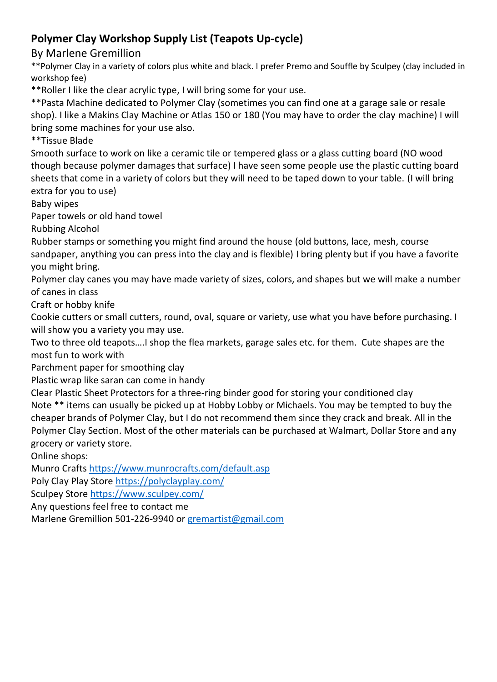## **Polymer Clay Workshop Supply List (Teapots Up-cycle)**

By Marlene Gremillion

\*\*Polymer Clay in a variety of colors plus white and black. I prefer Premo and Souffle by Sculpey (clay included in workshop fee)

\*\*Roller I like the clear acrylic type, I will bring some for your use.

\*\*Pasta Machine dedicated to Polymer Clay (sometimes you can find one at a garage sale or resale shop). I like a Makins Clay Machine or Atlas 150 or 180 (You may have to order the clay machine) I will bring some machines for your use also.

\*\*Tissue Blade

Smooth surface to work on like a ceramic tile or tempered glass or a glass cutting board (NO wood though because polymer damages that surface) I have seen some people use the plastic cutting board sheets that come in a variety of colors but they will need to be taped down to your table. (I will bring extra for you to use)

Baby wipes

Paper towels or old hand towel

Rubbing Alcohol

Rubber stamps or something you might find around the house (old buttons, lace, mesh, course sandpaper, anything you can press into the clay and is flexible) I bring plenty but if you have a favorite you might bring.

Polymer clay canes you may have made variety of sizes, colors, and shapes but we will make a number of canes in class

Craft or hobby knife

Cookie cutters or small cutters, round, oval, square or variety, use what you have before purchasing. I will show you a variety you may use.

Two to three old teapots….I shop the flea markets, garage sales etc. for them. Cute shapes are the most fun to work with

Parchment paper for smoothing clay

Plastic wrap like saran can come in handy

Clear Plastic Sheet Protectors for a three-ring binder good for storing your conditioned clay Note \*\* items can usually be picked up at Hobby Lobby or Michaels. You may be tempted to buy the cheaper brands of Polymer Clay, but I do not recommend them since they crack and break. All in the Polymer Clay Section. Most of the other materials can be purchased at Walmart, Dollar Store and any grocery or variety store.

Online shops:

Munro Crafts<https://www.munrocrafts.com/default.asp>

Poly Clay Play Store<https://polyclayplay.com/>

Sculpey Store<https://www.sculpey.com/>

Any questions feel free to contact me

Marlene Gremillion 501-226-9940 o[r gremartist@gmail.com](mailto:gremartist@gmail.com)